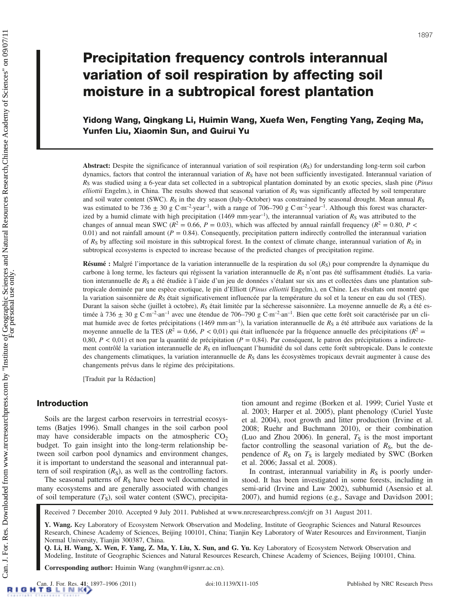Yidong Wang, Qingkang Li, Huimin Wang, Xuefa Wen, Fengting Yang, Zeqing Ma, Yunfen Liu, Xiaomin Sun, and Guirui Yu

Abstract: Despite the significance of interannual variation of soil respiration  $(R<sub>S</sub>)$  for understanding long-term soil carbon dynamics, factors that control the interannual variation of  $R<sub>S</sub>$  have not been sufficiently investigated. Interannual variation of  $R<sub>S</sub>$  was studied using a 6-year data set collected in a subtropical plantation dominated by an exotic species, slash pine (Pinus elliottii Engelm.), in China. The results showed that seasonal variation of  $R<sub>S</sub>$  was significantly affected by soil temperature and soil water content (SWC).  $R_S$  in the dry season (July–October) was constrained by seasonal drought. Mean annual  $R_S$ was estimated to be 736  $\pm$  30 g C·m<sup>-2</sup>·year<sup>-1</sup>, with a range of 706–790 g C·m<sup>-2</sup>·year<sup>-1</sup>. Although this forest was characterized by a humid climate with high precipitation (1469 mm·year<sup>-1</sup>), the interannual variation of  $R<sub>S</sub>$  was attributed to the changes of annual mean SWC ( $R^2 = 0.66$ ,  $P = 0.03$ ), which was affected by annual rainfall frequency ( $R^2 = 0.80$ ,  $P <$ 0.01) and not rainfall amount ( $P = 0.84$ ). Consequently, precipitation pattern indirectly controlled the interannual variation of  $R_S$  by affecting soil moisture in this subtropical forest. In the context of climate change, interannual variation of  $R_S$  in subtropical ecosystems is expected to increase because of the predicted changes of precipitation regime.

**Résumé :** Malgré l'importance de la variation interannuelle de la respiration du sol  $(R<sub>S</sub>)$  pour comprendre la dynamique du carbone à long terme, les facteurs qui régissent la variation interannuelle de  $R<sub>S</sub>$  n'ont pas été suffisamment étudiés. La variation interannuelle de  $R_S$  a été étudiée à l'aide d'un jeu de données s'étalant sur six ans et collectées dans une plantation subtropicale dominée par une espèce exotique, le pin d'Elliott (Pinus elliottii Engelm.), en Chine. Les résultats ont montré que la variation saisonnière de  $R<sub>S</sub>$  était significativement influencée par la température du sol et la teneur en eau du sol (TES). Durant la saison sèche (juillet à octobre),  $R_S$  était limitée par la sécheresse saisonnière. La moyenne annuelle de  $R_S$  a été estimée à 736  $\pm$  30 g C·m<sup>-2</sup>·an<sup>-1</sup> avec une étendue de 706–790 g C·m<sup>-2</sup>·an<sup>-1</sup>. Bien que cette forêt soit caractérisée par un climat humide avec de fortes précipitations (1469 mm·an<sup>-1</sup>), la variation interannuelle de  $R<sub>S</sub>$  a été attribuée aux variations de la moyenne annuelle de la TES ( $R^2 = 0.66$ ,  $P < 0.01$ ) qui était influencée par la fréquence annuelle des précipitations ( $R^2 = 0.66$ ) 0,80,  $P < 0.01$ ) et non par la quantité de précipitation ( $P = 0.84$ ). Par conséquent, le patron des précipitations a indirectement contrôlé la variation interannuelle de R<sub>S</sub> en influençant l'humidité du sol dans cette forêt subtropicale. Dans le contexte des changements climatiques, la variation interannuelle de  $R<sub>S</sub>$  dans les écosystèmes tropicaux devrait augmenter à cause des changements prévus dans le régime des précipitations.

[Traduit par la Rédaction]

# Introduction

Soils are the largest carbon reservoirs in terrestrial ecosystems (Batjes 1996). Small changes in the soil carbon pool may have considerable impacts on the atmospheric  $CO<sub>2</sub>$ budget. To gain insight into the long-term relationship between soil carbon pool dynamics and environment changes, it is important to understand the seasonal and interannual pattern of soil respiration  $(R<sub>S</sub>)$ , as well as the controlling factors.

The seasonal patterns of  $R<sub>S</sub>$  have been well documented in many ecosystems and are generally associated with changes of soil temperature  $(T<sub>S</sub>)$ , soil water content (SWC), precipitation amount and regime (Borken et al. 1999; Curiel Yuste et al. 2003; Harper et al. 2005), plant phenology (Curiel Yuste et al. 2004), root growth and litter production (Irvine et al. 2008; Ruehr and Buchmann 2010), or their combination (Luo and Zhou 2006). In general,  $T<sub>S</sub>$  is the most important factor controlling the seasonal variation of  $R<sub>S</sub>$ , but the dependence of  $R<sub>S</sub>$  on  $T<sub>S</sub>$  is largely mediated by SWC (Borken et al. 2006; Jassal et al. 2008).

In contrast, interannual variability in  $R<sub>S</sub>$  is poorly understood. It has been investigated in some forests, including in semi-arid (Irvine and Law 2002), subhumid (Asensio et al. 2007), and humid regions (e.g., Savage and Davidson 2001;

Received 7 December 2010. Accepted 9 July 2011. Published at www.nrcresearchpress.com/cjfr on 31 August 2011.

Y. Wang. Key Laboratory of Ecosystem Network Observation and Modeling, Institute of Geographic Sciences and Natural Resources Research, Chinese Academy of Sciences, Beijing 100101, China; Tianjin Key Laboratory of Water Resources and Environment, Tianjin Normal University, Tianjin 300387, China.

Q. Li, H. Wang, X. Wen, F. Yang, Z. Ma, Y. Liu, X. Sun, and G. Yu. Key Laboratory of Ecosystem Network Observation and Modeling, Institute of Geographic Sciences and Natural Resources Research, Chinese Academy of Sciences, Beijing 100101, China.

Corresponding author: Huimin Wang (wanghm@igsnrr.ac.cn).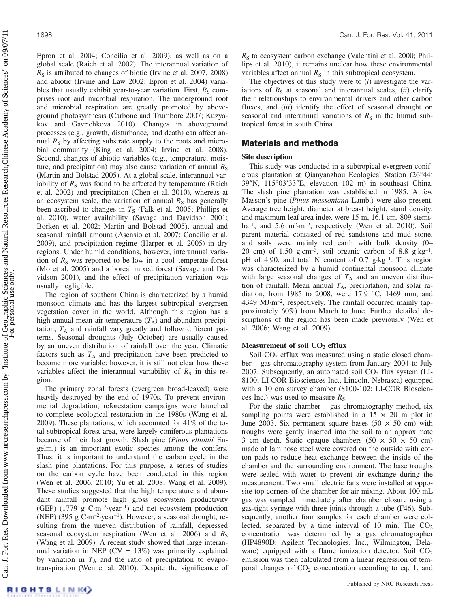Epron et al. 2004; Concilio et al. 2009), as well as on a global scale (Raich et al. 2002). The interannual variation of  $R<sub>S</sub>$  is attributed to changes of biotic (Irvine et al. 2007, 2008) and abiotic (Irvine and Law 2002; Epron et al. 2004) variables that usually exhibit year-to-year variation. First,  $R<sub>S</sub>$  comprises root and microbial respiration. The underground root and microbial respiration are greatly promoted by aboveground photosynthesis (Carbone and Trumbore 2007; Kuzyakov and Gavrichkova 2010). Changes in aboveground processes (e.g., growth, disturbance, and death) can affect annual  $R<sub>S</sub>$  by affecting substrate supply to the roots and microbial community (King et al. 2004; Irvine et al. 2008). Second, changes of abiotic variables (e.g., temperature, moisture, and precipitation) may also cause variation of annual  $R<sub>S</sub>$ (Martin and Bolstad 2005). At a global scale, interannual variability of  $R<sub>S</sub>$  was found to be affected by temperature (Raich et al. 2002) and precipitation (Chen et al. 2010), whereas at an ecosystem scale, the variation of annual  $R<sub>S</sub>$  has generally been ascribed to changes in  $T<sub>S</sub>$  (Falk et al. 2005; Phillips et al. 2010), water availability (Savage and Davidson 2001; Borken et al. 2002; Martin and Bolstad 2005), annual and seasonal rainfall amount (Asensio et al. 2007; Concilio et al. 2009), and precipitation regime (Harper et al. 2005) in dry regions. Under humid conditions, however, interannual variation of  $R<sub>S</sub>$  was reported to be low in a cool–temperate forest (Mo et al. 2005) and a boreal mixed forest (Savage and Davidson 2001), and the effect of precipitation variation was usually negligible.

The region of southern China is characterized by a humid monsoon climate and has the largest subtropical evergreen vegetation cover in the world. Although this region has a high annual mean air temperature  $(T_A)$  and abundant precipitation,  $T_A$  and rainfall vary greatly and follow different patterns. Seasonal droughts (July–October) are usually caused by an uneven distribution of rainfall over the year. Climatic factors such as  $T_A$  and precipitation have been predicted to become more variable; however, it is still not clear how these variables affect the interannual variability of  $R<sub>S</sub>$  in this region.

The primary zonal forests (evergreen broad-leaved) were heavily destroyed by the end of 1970s. To prevent environmental degradation, reforestation campaigns were launched to complete ecological restoration in the 1980s (Wang et al. 2009). These plantations, which accounted for 41% of the total subtropical forest area, were largely coniferous plantations because of their fast growth. Slash pine (Pinus elliottii Engelm.) is an important exotic species among the conifers. Thus, it is important to understand the carbon cycle in the slash pine plantations. For this purpose, a series of studies on the carbon cycle have been conducted in this region (Wen et al. 2006, 2010; Yu et al. 2008; Wang et al. 2009). These studies suggested that the high temperature and abundant rainfall promote high gross ecosystem productivity (GEP)  $(1779 \text{ g } \text{C} \cdot \text{m}^{-2} \cdot \text{year}^{-1})$  and net ecosystem production (NEP) (395 g  $C·m^{-2}$ ·year<sup>-1</sup>). However, a seasonal drought, resulting from the uneven distribution of rainfall, depressed seasonal ecosystem respiration (Wen et al. 2006) and  $R<sub>S</sub>$ (Wang et al. 2009). A recent study showed that large interannual variation in NEP ( $CV = 13\%$ ) was primarily explained by variation in  $T_A$  and the ratio of precipitation to evapotranspiration (Wen et al. 2010). Despite the significance of  $R<sub>S</sub>$  to ecosystem carbon exchange (Valentini et al. 2000; Phillips et al. 2010), it remains unclear how these environmental variables affect annual  $R<sub>S</sub>$  in this subtropical ecosystem.

The objectives of this study were to  $(i)$  investigate the variations of  $R<sub>S</sub>$  at seasonal and interannual scales, (ii) clarify their relationships to environmental drivers and other carbon fluxes, and *(iii)* identify the effect of seasonal drought on seasonal and interannual variations of  $R<sub>S</sub>$  in the humid subtropical forest in south China.

# Materials and methods

# Site description

This study was conducted in a subtropical evergreen coniferous plantation at Qianyanzhou Ecological Station (26°44′ 39″N, 115°03′33″E, elevation 102 m) in southeast China. The slash pine plantation was established in 1985. A few Masson's pine (Pinus massoniana Lamb.) were also present. Average tree height, diameter at breast height, stand density, and maximum leaf area index were 15 m, 16.1 cm, 809 stems· ha<sup>-1</sup>, and 5.6 m<sup>2</sup>·m<sup>-2</sup>, respectively (Wen et al. 2010). Soil parent material consisted of red sandstone and mud stone, and soils were mainly red earth with bulk density (0– 20 cm) of 1.50 g·cm<sup>-3</sup>, soil organic carbon of 8.8 g·kg<sup>-1</sup>, pH of 4.90, and total N content of  $0.7$  g·kg<sup>-1</sup>. This region was characterized by a humid continental monsoon climate with large seasonal changes of  $T_A$  and an uneven distribution of rainfall. Mean annual  $T_A$ , precipitation, and solar radiation, from 1985 to 2008, were 17.9 °C, 1469 mm, and 4349 MJ·m–2, respectively. The rainfall occurred mainly (approximately 60%) from March to June. Further detailed descriptions of the region has been made previously (Wen et al. 2006; Wang et al. 2009).

# Measurement of soil  $CO<sub>2</sub>$  efflux

Soil CO<sub>2</sub> efflux was measured using a static closed chamber – gas chromatography system from January 2004 to July 2007. Subsequently, an automated soil  $CO<sub>2</sub>$  flux system (LI-8100; LI-COR Biosciences Inc., Lincoln, Nebrasca) equipped with a 10 cm survey chamber (8100-102; LI-COR Biosciences Inc.) was used to measure  $R<sub>S</sub>$ .

For the static chamber  $-$  gas chromatography method, six sampling points were established in a  $15 \times 20$  m plot in June 2003. Six permanent square bases (50  $\times$  50 cm) with troughs were gently inserted into the soil to an approximate 3 cm depth. Static opaque chambers  $(50 \times 50 \times 50 \text{ cm})$ made of laminose steel were covered on the outside with cotton pads to reduce heat exchange between the inside of the chamber and the surrounding environment. The base troughs were sealed with water to prevent air exchange during the measurement. Two small electric fans were installed at opposite top corners of the chamber for air mixing. About 100 mL gas was sampled immediately after chamber closure using a gas-tight syringe with three joints through a tube (F46). Subsequently, another four samples for each chamber were collected, separated by a time interval of 10 min. The  $CO<sub>2</sub>$ concentration was determined by a gas chromatographer (HP4890D; Agilent Technologies, Inc., Wilmington, Delaware) equipped with a flame ionization detector. Soil  $CO<sub>2</sub>$ emission was then calculated from a linear regression of temporal changes of  $CO<sub>2</sub>$  concentration according to eq. 1, and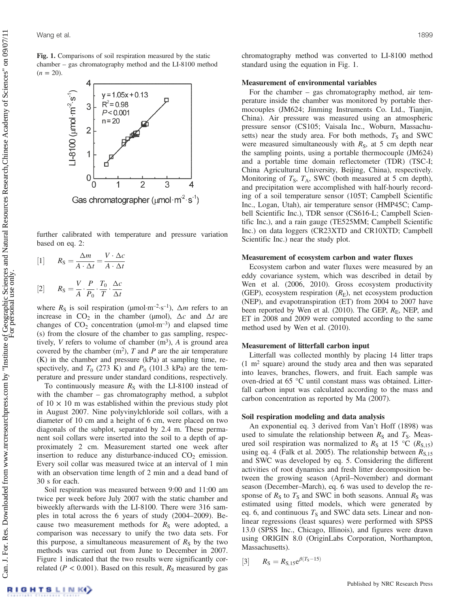Fig. 1. Comparisons of soil respiration measured by the static chamber – gas chromatography method and the LI-8100 method  $(n = 20)$ .



further calibrated with temperature and pressure variation based on eq. 2:

[1] 
$$
R_S = \frac{\Delta m}{A \cdot \Delta t} = \frac{V \cdot \Delta c}{A \cdot \Delta t}
$$

$$
[2] \qquad R_{\rm S} = \frac{V}{A} \cdot \frac{P}{P_0} \cdot \frac{T_0}{T} \cdot \frac{\Delta c}{\Delta t}
$$

where  $R_S$  is soil respiration ( $\mu$ mol·m<sup>-2</sup>·s<sup>-1</sup>),  $\Delta m$  refers to an increase in CO<sub>2</sub> in the chamber (µmol),  $\Delta c$  and  $\Delta t$  are changes of  $CO_2$  concentration ( $\mu$ mol·m<sup>-3</sup>) and elapsed time (s) from the closure of the chamber to gas sampling, respectively, V refers to volume of chamber  $(m^3)$ , A is ground area covered by the chamber  $(m^2)$ , T and P are the air temperature (K) in the chamber and pressure (kPa) at sampling time, respectively, and  $T_0$  (273 K) and  $P_0$  (101.3 kPa) are the temperature and pressure under standard conditions, respectively.

To continuously measure  $R<sub>S</sub>$  with the LI-8100 instead of with the chamber – gas chromatography method, a subplot of  $10 \times 10$  m was established within the previous study plot in August 2007. Nine polyvinylchloride soil collars, with a diameter of 10 cm and a height of 6 cm, were placed on two diagonals of the subplot, separated by 2.4 m. These permanent soil collars were inserted into the soil to a depth of approximately 2 cm. Measurement started one week after insertion to reduce any disturbance-induced  $CO<sub>2</sub>$  emission. Every soil collar was measured twice at an interval of 1 min with an observation time length of 2 min and a dead band of 30 s for each.

Soil respiration was measured between 9:00 and 11:00 am twice per week before July 2007 with the static chamber and biweekly afterwards with the LI-8100. There were 316 samples in total across the 6 years of study (2004–2009). Because two measurement methods for  $R<sub>S</sub>$  were adopted, a comparison was necessary to unify the two data sets. For this purpose, a simultaneous measurement of  $R<sub>S</sub>$  by the two methods was carried out from June to December in 2007. Figure 1 indicated that the two results were significantly correlated ( $P < 0.001$ ). Based on this result,  $R<sub>S</sub>$  measured by gas chromatography method was converted to LI-8100 method standard using the equation in Fig. 1.

#### Measurement of environmental variables

For the chamber – gas chromatography method, air temperature inside the chamber was monitored by portable thermocouples (JM624; Jinming Instruments Co. Ltd., Tianjin, China). Air pressure was measured using an atmospheric pressure sensor (CS105; Vaisala Inc., Woburn, Massachusetts) near the study area. For both methods,  $T<sub>S</sub>$  and SWC were measured simultaneously with  $R<sub>S</sub>$ , at 5 cm depth near the sampling points, using a portable thermocouple (JM624) and a portable time domain reflectometer (TDR) (TSC-I; China Agricultural University, Beijing, China), respectively. Monitoring of  $T_s$ ,  $T_A$ , SWC (both measured at 5 cm depth), and precipitation were accomplished with half-hourly recording of a soil temperature sensor (105T; Campbell Scientific Inc., Logan, Utah), air temperature sensor (HMP45C; Campbell Scientific Inc.), TDR sensor (CS616-L; Campbell Scientific Inc.), and a rain gauge (TE525MM; Campbell Scientific Inc.) on data loggers (CR23XTD and CR10XTD; Campbell Scientific Inc.) near the study plot.

#### Measurement of ecosystem carbon and water fluxes

Ecosystem carbon and water fluxes were measured by an eddy covariance system, which was described in detail by Wen et al. (2006, 2010). Gross ecosystem productivity (GEP), ecosystem respiration  $(R<sub>E</sub>)$ , net ecosystem production (NEP), and evapotranspiration (ET) from 2004 to 2007 have been reported by Wen et al. (2010). The GEP,  $R<sub>E</sub>$ , NEP, and ET in 2008 and 2009 were computed according to the same method used by Wen et al. (2010).

#### Measurement of litterfall carbon input

Litterfall was collected monthly by placing 14 litter traps  $(1 \text{ m}^2 \text{ square})$  around the study area and then was separated into leaves, branches, flowers, and fruit. Each sample was oven-dried at 65 °C until constant mass was obtained. Litterfall carbon input was calculated according to the mass and carbon concentration as reported by Ma (2007).

#### Soil respiration modeling and data analysis

An exponential eq. 3 derived from Van't Hoff (1898) was used to simulate the relationship between  $R<sub>S</sub>$  and  $T<sub>S</sub>$ . Measured soil respiration was normalized to  $R<sub>S</sub>$  at 15 °C ( $R<sub>S,15</sub>$ ) using eq. 4 (Falk et al. 2005). The relationship between  $R_{S,15}$ and SWC was developed by eq. 5. Considering the different activities of root dynamics and fresh litter decomposition between the growing season (April–November) and dormant season (December–March), eq. 6 was used to develop the response of  $R<sub>S</sub>$  to  $T<sub>S</sub>$  and SWC in both seasons. Annual  $R<sub>S</sub>$  was estimated using fitted models, which were generated by eq. 6, and continuous  $T<sub>S</sub>$  and SWC data sets. Linear and nonlinear regressions (least squares) were performed with SPSS 13.0 (SPSS Inc., Chicago, Illinois), and figures were drawn using ORIGIN 8.0 (OriginLabs Corporation, Northampton, Massachusetts).

[3] 
$$
R_S = R_{S,15}e^{\beta(T_S-15)}
$$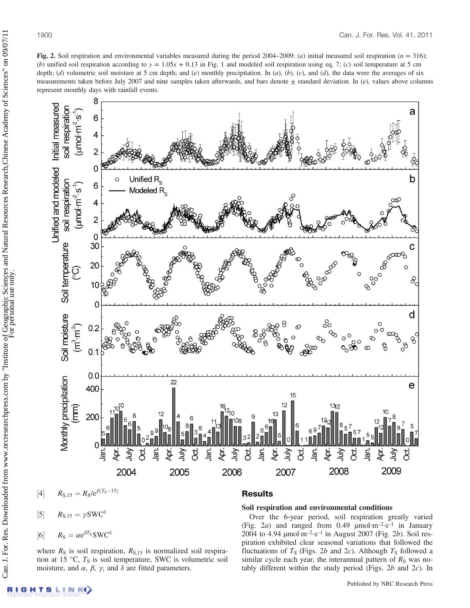Fig. 2. Soil respiration and environmental variables measured during the period 2004–2009: (a) initial measured soil respiration ( $n = 316$ ); (b) unified soil respiration according to  $y = 1.05x + 0.13$  in Fig. 1 and modeled soil respiration using eq. 7; (c) soil temperature at 5 cm depth; (d) volumetric soil moisture at 5 cm depth; and (e) monthly precipitation. In (a), (b), (c), and (d), the data were the averages of six measurements taken before July 2007 and nine samples taken afterwards, and bars denote  $\pm$  standard deviation. In (e), values above columns represent monthly days with rainfall events.



 $[4]$ 

 $R_{\rm S} = \alpha e^{\beta T_{\rm S}} S W C^{\delta}$ 

where  $R<sub>S</sub>$  is soil respiration,  $R<sub>S,15</sub>$  is normalized soil respiration at 15 °C,  $T<sub>S</sub>$  is soil temperature, SWC is volumetric soil

moisture, and  $\alpha$ ,  $\beta$ ,  $\gamma$ , and  $\delta$  are fitted parameters.

 $[5]$  $R_{\rm S,15} = \gamma {\rm SWC}^{\delta}$ 

$$
\overline{\text{resuits}}
$$

Soil respiration and environmental conditions

Over the 6-year period, soil respiration greatly varied (Fig. 2a) and ranged from 0.49  $\mu$ mol·m<sup>-2</sup>·s<sup>-1</sup> in January 2004 to 4.94  $\mu$ mol·m<sup>-2</sup>·s<sup>-1</sup> in August 2007 (Fig. 2b). Soil respiration exhibited clear seasonal variations that followed the fluctuations of  $T<sub>S</sub>$  (Figs. 2b and 2c). Although  $T<sub>S</sub>$  followed a similar cycle each year, the interannual pattern of  $R<sub>S</sub>$  was notably different within the study period (Figs.  $2b$  and  $2c$ ). In

 $[6]$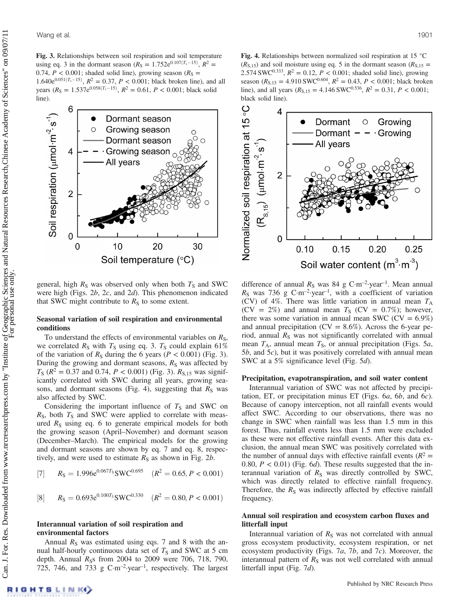

general, high  $R<sub>S</sub>$  was observed only when both  $T<sub>S</sub>$  and SWC were high (Figs. 2b, 2c, and 2d). This phenomenon indicated that SWC might contribute to  $R<sub>S</sub>$  to some extent.

### Seasonal variation of soil respiration and environmental conditions

To understand the effects of environmental variables on  $R<sub>S</sub>$ , we correlated  $R<sub>S</sub>$  with  $T<sub>S</sub>$  using eq. 3.  $T<sub>S</sub>$  could explain 61% of the variation of  $R<sub>S</sub>$  during the 6 years ( $P < 0.001$ ) (Fig. 3). During the growing and dormant seasons,  $R<sub>S</sub>$  was affected by  $T_S$  ( $R^2 = 0.37$  and 0.74,  $P < 0.001$ ) (Fig. 3).  $R_{S,15}$  was significantly correlated with SWC during all years, growing seasons, and dormant seasons (Fig. 4), suggesting that  $R<sub>S</sub>$  was also affected by SWC.

Considering the important influence of  $T<sub>S</sub>$  and SWC on  $R<sub>S</sub>$ , both  $T<sub>S</sub>$  and SWC were applied to correlate with measured  $R<sub>S</sub>$  using eq. 6 to generate empirical models for both the growing season (April–November) and dormant season (December–March). The empirical models for the growing and dormant seasons are shown by eq. 7 and eq. 8, respectively, and were used to estimate  $R<sub>S</sub>$  as shown in Fig. 2b.

[7] 
$$
R_S = 1.996e^{0.067T_S} \text{SWC}^{0.695}
$$
  $(R^2 = 0.65, P < 0.001)$ 

[8] 
$$
R_S = 0.693e^{0.100T_S}
$$
SWC<sup>0.330</sup>  $(R^2 = 0.80, P < 0.001)$ 

### Interannual variation of soil respiration and environmental factors

Annual  $R<sub>S</sub>$  was estimated using eqs. 7 and 8 with the annual half-hourly continuous data set of  $T<sub>S</sub>$  and SWC at 5 cm depth. Annual  $R_S$ s from 2004 to 2009 were 706, 718, 790, 725, 746, and 733 g  $C \cdot m^{-2}$  year<sup>-1</sup>, respectively. The largest

**Fig. 4.** Relationships between normalized soil respiration at 15  $^{\circ}$ C  $(R<sub>S,15</sub>)$  and soil moisture using eq. 5 in the dormant season  $(R<sub>S,15</sub>)$ 2.574 SWC<sup>0.333</sup>,  $R^2 = 0.12$ ,  $P < 0.001$ ; shaded solid line), growing season ( $R_{\rm S,15} = 4.910$  SWC<sup>0.604</sup>,  $R^2 = 0.43$ ,  $P < 0.001$ ; black broken line), and all years  $(R<sub>S,15</sub> = 4.146$  SWC<sup>0.536</sup>,  $R<sup>2</sup> = 0.31$ ,  $P < 0.001$ ; black solid line).



difference of annual  $R<sub>S</sub>$  was 84 g C·m<sup>-2</sup>·year<sup>-1</sup>. Mean annual  $R<sub>S</sub>$  was 736 g C·m<sup>-2</sup>·year<sup>-1</sup>, with a coefficient of variation (CV) of 4%. There was little variation in annual mean  $T_A$  $(CV = 2\%)$  and annual mean  $T<sub>S</sub>$   $(CV = 0.7\%)$ ; however, there was some variation in annual mean SWC ( $CV = 6.9\%)$ and annual precipitation ( $CV = 8.6\%$ ). Across the 6-year period, annual  $R<sub>S</sub>$  was not significantly correlated with annual mean  $T_A$ , annual mean  $T_S$ , or annual precipitation (Figs. 5a, 5b, and 5c), but it was positively correlated with annual mean SWC at a 5% significance level (Fig. 5d).

### Precipitation, evapotranspiration, and soil water content

Interannual variation of SWC was not affected by precipitation, ET, or precipitation minus ET (Figs. 6a, 6b, and 6c). Because of canopy interception, not all rainfall events would affect SWC. According to our observations, there was no change in SWC when rainfall was less than 1.5 mm in this forest. Thus, rainfall events less than 1.5 mm were excluded as these were not effective rainfall events. After this data exclusion, the annual mean SWC was positively correlated with the number of annual days with effective rainfall events ( $R^2$  = 0.80,  $P < 0.01$ ) (Fig. 6d). These results suggested that the interannual variation of  $R<sub>S</sub>$  was directly controlled by SWC, which was directly related to effective rainfall frequency. Therefore, the  $R<sub>S</sub>$  was indirectly affected by effective rainfall frequency.

### Annual soil respiration and ecosystem carbon fluxes and litterfall input

Interannual variation of  $R<sub>S</sub>$  was not correlated with annual gross ecosystem productivity, ecosystem respiration, or net ecosystem productivity (Figs. 7a, 7b, and 7c). Moreover, the interannual pattern of  $R<sub>S</sub>$  was not well correlated with annual litterfall input (Fig. 7d).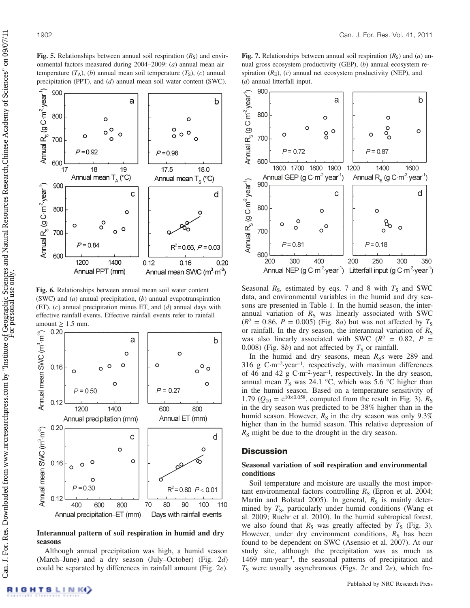Can. J. For. Res. Downloaded from www.nrcresearchpress.com by "Institute of Geographic Sciences and Natural Resources Research,Chinese Academy of Sciences" on 09/07/11 Can. J. For. Res. Downloaded from www.nrcresearchpress.com by "Institute of Geographic Sciences and Natural Resources Research,Chinese Academy of Sciences" on 09/07/11 For personal use only.

**Fig. 5.** Relationships between annual soil respiration  $(R<sub>S</sub>)$  and environmental factors measured during 2004–2009: (a) annual mean air temperature  $(T_A)$ ,  $(b)$  annual mean soil temperature  $(T_S)$ ,  $(c)$  annual precipitation (PPT), and (d) annual mean soil water content (SWC).



Fig. 6. Relationships between annual mean soil water content (SWC) and  $(a)$  annual precipitation,  $(b)$  annual evapotranspiration (ET),  $(c)$  annual precipitation minus ET, and  $(d)$  annual days with effective rainfall events. Effective rainfall events refer to rainfall amount  $\geq 1.5$  mm.



Interannual pattern of soil respiration in humid and dry seasons

Although annual precipitation was high, a humid season (March–June) and a dry season (July–October) (Fig. 2d) could be separated by differences in rainfall amount (Fig. 2e).





Seasonal  $R_s$ , estimated by eqs. 7 and 8 with  $T_s$  and SWC data, and environmental variables in the humid and dry seasons are presented in Table 1. In the humid season, the interannual variation of  $R<sub>S</sub>$  was linearly associated with SWC  $(R^2 = 0.86, P = 0.005)$  (Fig. 8*a*) but was not affected by  $T_s$ or rainfall. In the dry season, the interannual variation of  $R<sub>S</sub>$ was also linearly associated with SWC ( $R^2 = 0.82$ ,  $P =$ 0.008) (Fig. 8b) and not affected by  $T<sub>S</sub>$  or rainfall.

In the humid and dry seasons, mean  $R_{\rm S}$  were 289 and 316 g C·m–2·year–1, respectively, with maximun differences of 46 and 42 g  $C \cdot m^{-2}$  year<sup>-1</sup>, respectively. In the dry season, annual mean  $T_s$  was 24.1 °C, which was 5.6 °C higher than in the humid season. Based on a temperature sensitivity of 1.79 ( $Q_{10} = e^{10 \times 0.058}$ , computed from the result in Fig. 3),  $R_s$ in the dry season was predicted to be 38% higher than in the humid season. However,  $R<sub>S</sub>$  in the dry season was only 9.3% higher than in the humid season. This relative depression of  $R<sub>S</sub>$  might be due to the drought in the dry season.

## **Discussion**

## Seasonal variation of soil respiration and environmental conditions

Soil temperature and moisture are usually the most important environmental factors controlling  $R<sub>S</sub>$  (Epron et al. 2004; Martin and Bolstad 2005). In general,  $R_s$  is mainly determined by  $T_s$ , particularly under humid conditions (Wang et al. 2009; Ruehr et al. 2010). In the humid subtropical forest, we also found that  $R<sub>S</sub>$  was greatly affected by  $T<sub>S</sub>$  (Fig. 3). However, under dry environment conditions,  $R<sub>S</sub>$  has been found to be dependent on SWC (Asensio et al. 2007). At our study site, although the precipitation was as much as 1469 mm·year–1, the seasonal patterns of precipitation and  $T<sub>S</sub>$  were usually asynchronous (Figs. 2c and 2e), which fre-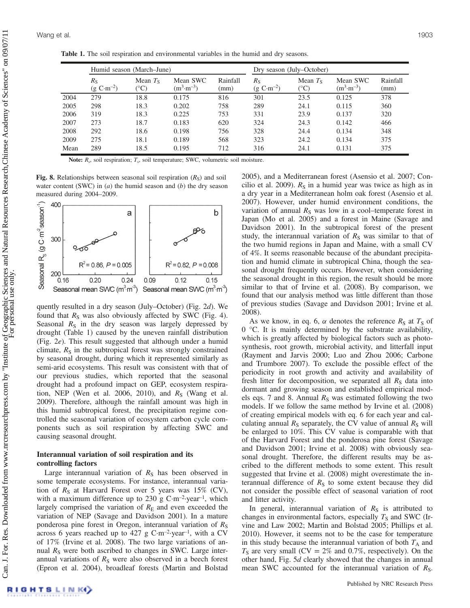Table 1. The soil respiration and environmental variables in the humid and dry seasons.

|      | Humid season (March–June)             |                            |                                  |                  | Dry season (July–October)                          |                                      |                                  |                  |
|------|---------------------------------------|----------------------------|----------------------------------|------------------|----------------------------------------------------|--------------------------------------|----------------------------------|------------------|
|      | $R_{\rm S}$<br>$(g \ C \cdot m^{-2})$ | Mean $T_s$<br>$(^\circ C)$ | Mean SWC<br>$(m^3 \cdot m^{-3})$ | Rainfall<br>(mm) | $R_{\rm S}$<br>$(g \text{ C} \cdot \text{m}^{-2})$ | Mean $T_s$<br>$({}^\circ\mathrm{C})$ | Mean SWC<br>$(m^3 \cdot m^{-3})$ | Rainfall<br>(mm) |
| 2004 | 279                                   | 18.8                       | 0.175                            | 816              | 301                                                | 23.5                                 | 0.125                            | 378              |
| 2005 | 298                                   | 18.3                       | 0.202                            | 758              | 289                                                | 24.1                                 | 0.115                            | 360              |
| 2006 | 319                                   | 18.3                       | 0.225                            | 753              | 331                                                | 23.9                                 | 0.137                            | 320              |
| 2007 | 273                                   | 18.7                       | 0.183                            | 620              | 324                                                | 24.3                                 | 0.142                            | 466              |
| 2008 | 292                                   | 18.6                       | 0.198                            | 756              | 328                                                | 24.4                                 | 0.134                            | 348              |
| 2009 | 275                                   | 18.1                       | 0.189                            | 568              | 323                                                | 24.2                                 | 0.134                            | 375              |
| Mean | 289                                   | 18.5                       | 0.195                            | 712              | 316                                                | 24.1                                 | 0.131                            | 375              |

Note:  $R_s$ , soil respiration;  $T_s$ , soil temperature; SWC, volumetric soil moisture.

Fig. 8. Relationships between seasonal soil respiration  $(R<sub>S</sub>)$  and soil water content (SWC) in  $(a)$  the humid season and  $(b)$  the dry season measured during 2004–2009.



quently resulted in a dry season (July–October) (Fig. 2d). We found that  $R<sub>S</sub>$  was also obviously affected by SWC (Fig. 4). Seasonal  $R<sub>S</sub>$  in the dry season was largely depressed by drought (Table 1) caused by the uneven rainfall distribution (Fig. 2e). This result suggested that although under a humid climate,  $R<sub>S</sub>$  in the subtropical forest was strongly constrained by seasonal drought, during which it represented similarly as semi-arid ecosystems. This result was consistent with that of our previous studies, which reported that the seasonal drought had a profound impact on GEP, ecosystem respiration, NEP (Wen et al. 2006, 2010), and  $R<sub>S</sub>$  (Wang et al. 2009). Therefore, although the rainfall amount was high in this humid subtropical forest, the precipitation regime controlled the seasonal variation of ecosystem carbon cycle components such as soil respiration by affecting SWC and causing seasonal drought.

# Interannual variation of soil respiration and its controlling factors

Large interannual variation of  $R<sub>S</sub>$  has been observed in some temperate ecosystems. For instance, interannual variation of  $R<sub>S</sub>$  at Harvard Forest over 5 years was 15% (CV), with a maximum difference up to 230 g  $C \cdot m^{-2}$ -year<sup>-1</sup>, which largely comprised the variation of  $R<sub>E</sub>$  and even exceeded the variation of NEP (Savage and Davidson 2001). In a mature ponderosa pine forest in Oregon, interannual variation of  $R<sub>S</sub>$ across 6 years reached up to 427 g  $C \cdot m^{-2}$ -year<sup>-1</sup>, with a CV of 17% (Irvine et al. 2008). The two large variations of annual  $R<sub>S</sub>$  were both ascribed to changes in SWC. Large interannual variations of  $R<sub>S</sub>$  were also observed in a beech forest (Epron et al. 2004), broadleaf forests (Martin and Bolstad 2005), and a Mediterranean forest (Asensio et al. 2007; Concilio et al. 2009).  $R<sub>S</sub>$  in a humid year was twice as high as in a dry year in a Mediterranean holm oak forest (Asensio et al. 2007). However, under humid environment conditions, the variation of annual  $R<sub>S</sub>$  was low in a cool–temperate forest in Japan (Mo et al. 2005) and a forest in Maine (Savage and Davidson 2001). In the subtropical forest of the present study, the interannual variation of  $R<sub>S</sub>$  was similar to that of the two humid regions in Japan and Maine, with a small CV of 4%. It seems reasonable because of the abundant precipitation and humid climate in subtropical China, though the seasonal drought frequently occurs. However, when considering the seasonal drought in this region, the result should be more similar to that of Irvine et al. (2008). By comparison, we found that our analysis method was little different than those of previous studies (Savage and Davidson 2001; Irvine et al. 2008).

As we know, in eq. 6,  $\alpha$  denotes the reference  $R<sub>S</sub>$  at  $T<sub>S</sub>$  of 0 °C. It is mainly determined by the substrate availability, which is greatly affected by biological factors such as photosynthesis, root growth, microbial activity, and litterfall input (Rayment and Jarvis 2000; Luo and Zhou 2006; Carbone and Trumbore 2007). To exclude the possible effect of the periodicity in root growth and activity and availability of fresh litter for decomposition, we separated all  $R<sub>S</sub>$  data into dormant and growing season and established empirical models eqs. 7 and 8. Annual  $R<sub>S</sub>$  was estimated following the two models. If we follow the same method by Irvine et al. (2008) of creating empirical models with eq. 6 for each year and calculating annual  $R<sub>S</sub>$  separately, the CV value of annual  $R<sub>S</sub>$  will be enlarged to 10%. This CV value is comparable with that of the Harvard Forest and the ponderosa pine forest (Savage and Davidson 2001; Irvine et al. 2008) with obviously seasonal drought. Therefore, the different results may be ascribed to the different methods to some extent. This result suggested that Irvine et al. (2008) might overestimate the interannual difference of  $R<sub>S</sub>$  to some extent because they did not consider the possible effect of seasonal variation of root and litter activity.

In general, interannual variation of  $R<sub>S</sub>$  is attributed to changes in environmental factors, especially  $T<sub>S</sub>$  and SWC (Irvine and Law 2002; Martin and Bolstad 2005; Phillips et al. 2010). However, it seems not to be the case for temperature in this study because the interannual variation of both  $T_A$  and  $T<sub>S</sub>$  are very small (CV = 2% and 0.7%, respectively). On the other hand, Fig. 5d clearly showed that the changes in annual mean SWC accounted for the interannual variation of  $R<sub>S</sub>$ .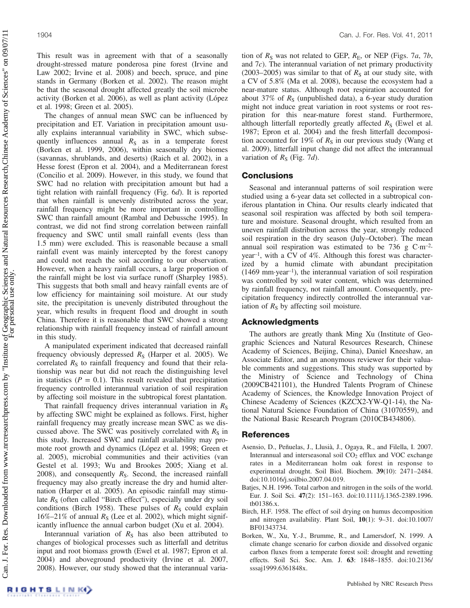This result was in agreement with that of a seasonally drought-stressed mature ponderosa pine forest (Irvine and Law 2002; Irvine et al. 2008) and beech, spruce, and pine stands in Germany (Borken et al. 2002). The reason might be that the seasonal drought affected greatly the soil microbe activity (Borken et al. 2006), as well as plant activity (López et al. 1998; Green et al. 2005).

The changes of annual mean SWC can be influenced by precipitation and ET. Variation in precipitation amount usually explains interannual variability in SWC, which subsequently influences annual  $R<sub>S</sub>$  as in a temperate forest (Borken et al. 1999, 2006), within seasonally dry biomes (savannas, shrublands, and deserts) (Raich et al. 2002), in a Hesse forest (Epron et al. 2004), and a Mediterranean forest (Concilio et al. 2009). However, in this study, we found that SWC had no relation with precipitation amount but had a tight relation with rainfall frequency (Fig. 6d). It is reported that when rainfall is unevenly distributed across the year, rainfall frequency might be more important in controlling SWC than rainfall amount (Rambal and Debussche 1995). In contrast, we did not find strong correlation between rainfall frequency and SWC until small rainfall events (less than 1.5 mm) were excluded. This is reasonable because a small rainfall event was mainly intercepted by the forest canopy and could not reach the soil according to our observation. However, when a heavy rainfall occurs, a large proportion of the rainfall might be lost via surface runoff (Sharpley 1985). This suggests that both small and heavy rainfall events are of low efficiency for maintaining soil moisture. At our study site, the precipitation is unevenly distributed throughout the year, which results in frequent flood and drought in south China. Therefore it is reasonable that SWC showed a strong relationship with rainfall frequency instead of rainfall amount in this study.

A manipulated experiment indicated that decreased rainfall frequency obviously depressed  $R<sub>S</sub>$  (Harper et al. 2005). We correlated  $R<sub>S</sub>$  to rainfall frequency and found that their relationship was near but did not reach the distinguishing level in statistics ( $P = 0.1$ ). This result revealed that precipitation frequency controlled interannual variation of soil respiration by affecting soil moisture in the subtropical forest plantation.

That rainfall frequency drives interannual variation in  $R<sub>S</sub>$ by affecting SWC might be explained as follows. First, higher rainfall frequency may greatly increase mean SWC as we discussed above. The SWC was positively correlated with  $R<sub>S</sub>$  in this study. Increased SWC and rainfall availability may promote root growth and dynamics (López et al. 1998; Green et al. 2005), microbial communities and their activities (van Gestel et al. 1993; Wu and Brookes 2005; Xiang et al. 2008), and consequently  $R<sub>S</sub>$ . Second, the increased rainfall frequency may also greatly increase the dry and humid alternation (Harper et al. 2005). An episodic rainfall may stimulate  $R<sub>S</sub>$  (often called "Birch effect"), especially under dry soil conditions (Birch 1958). These pulses of  $R<sub>S</sub>$  could explain  $16\% - 21\%$  of annual  $R<sub>S</sub>$  (Lee et al. 2002), which might significantly influence the annual carbon budget (Xu et al. 2004).

Interannual variation of  $R<sub>S</sub>$  has also been attributed to changes of biological processes such as litterfall and detritus input and root biomass growth (Ewel et al. 1987; Epron et al. 2004) and aboveground productivity (Irvine et al. 2007, 2008). However, our study showed that the interannual variation of  $R<sub>S</sub>$  was not related to GEP,  $R<sub>E</sub>$ , or NEP (Figs. 7a, 7b, and 7c). The interannual variation of net primary productivity (2003–2005) was similar to that of  $R<sub>S</sub>$  at our study site, with a CV of 5.8% (Ma et al. 2008), because the ecosystem had a near-mature status. Although root respiration accounted for about 37% of  $R<sub>S</sub>$  (unpublished data), a 6-year study duration might not induce great variation in root systems or root respiration for this near-mature forest stand. Furthermore, although litterfall reportedly greatly affected  $R<sub>S</sub>$  (Ewel et al. 1987; Epron et al. 2004) and the fresh litterfall decomposition accounted for 19% of  $R<sub>S</sub>$  in our previous study (Wang et al. 2009), litterfall input change did not affect the interannual variation of  $R<sub>S</sub>$  (Fig. 7*d*).

# **Conclusions**

Seasonal and interannual patterns of soil respiration were studied using a 6-year data set collected in a subtropical coniferous plantation in China. Our results clearly indicated that seasonal soil respiration was affected by both soil temperature and moisture. Seasonal drought, which resulted from an uneven rainfall distribution across the year, strongly reduced soil respiration in the dry season (July–October). The mean annual soil respiration was estimated to be 736 g  $\text{C} \cdot \text{m}^{-2}$ . year–1, with a CV of 4%. Although this forest was characterized by a humid climate with abundant precipitation  $(1469 \text{ mm} \cdot \text{year}^{-1})$ , the interannual variation of soil respiration was controlled by soil water content, which was determined by rainfall frequency, not rainfall amount. Consequently, precipitation frequency indirectly controlled the interannual variation of  $R<sub>S</sub>$  by affecting soil moisture.

## Acknowledgments

The authors are greatly thank Ming Xu (Institute of Geographic Sciences and Natural Resources Research, Chinese Academy of Sciences, Beijing, China), Daniel Kneeshaw, an Associate Editor, and an anonymous reviewer for their valuable comments and suggestions. This study was supported by the Ministry of Science and Technology of China (2009CB421101), the Hundred Talents Program of Chinese Academy of Sciences, the Knowledge Innovation Project of Chinese Academy of Sciences (KZCX2-YW-Q1-14), the National Natural Science Foundation of China (31070559), and the National Basic Research Program (2010CB434806).

## References

- Asensio, D., Peñuelas, J., Llusià, J., Ogaya, R., and Filella, I. 2007. Interannual and interseasonal soil CO<sub>2</sub> efflux and VOC exchange rates in a Mediterranean holm oak forest in response to experimental drought. Soil Biol. Biochem. 39(10): 2471–2484. doi:10.1016/j.soilbio.2007.04.019.
- Batjes, N.H. 1996. Total carbon and nitrogen in the soils of the world. Eur. J. Soil Sci. 47(2): 151–163. doi:10.1111/j.1365-2389.1996. tb01386.x.
- Birch, H.F. 1958. The effect of soil drying on humus decomposition and nitrogen availability. Plant Soil, 10(1): 9–31. doi:10.1007/ BF01343734.
- Borken, W., Xu, Y.-J., Brumme, R., and Lamersdorf, N. 1999. A climate change scenario for carbon dioxide and dissolved organic carbon fluxes from a temperate forest soil: drought and rewetting effects. Soil Sci. Soc. Am. J. 63: 1848–1855. doi:10.2136/ sssaj1999.6361848x.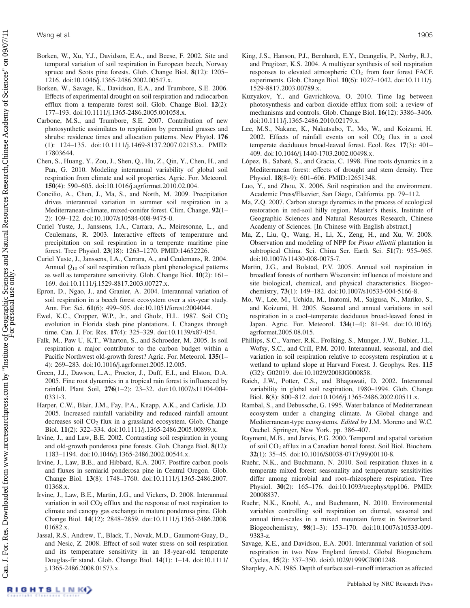- Borken, W., Xu, Y.J., Davidson, E.A., and Beese, F. 2002. Site and temporal variation of soil respiration in European beech, Norway spruce and Scots pine forests. Glob. Change Biol. 8(12): 1205– 1216. doi:10.1046/j.1365-2486.2002.00547.x.
- Borken, W., Savage, K., Davidson, E.A., and Trumbore, S.E. 2006. Effects of experimental drought on soil respiration and radiocarbon efflux from a temperate forest soil. Glob. Change Biol. 12(2): 177–193. doi:10.1111/j.1365-2486.2005.001058.x.
- Carbone, M.S., and Trumbore, S.E. 2007. Contribution of new photosynthetic assimilates to respiration by perennial grasses and shrubs: residence times and allocation patterns. New Phytol. 176 (1): 124–135. doi:10.1111/j.1469-8137.2007.02153.x. PMID: 17803644.
- Chen, S., Huang, Y., Zou, J., Shen, Q., Hu, Z., Qin, Y., Chen, H., and Pan, G. 2010. Modeling interannual variability of global soil respiration from climate and soil properties. Agric. For. Meteorol. 150(4): 590–605. doi:10.1016/j.agrformet.2010.02.004.
- Concilio, A., Chen, J., Ma, S., and North, M. 2009. Precipitation drives interannual variation in summer soil respiration in a Mediterranean-climate, mixed-conifer forest. Clim. Change, 92(1– 2): 109–122. doi:10.1007/s10584-008-9475-0.
- Curiel Yuste, J., Janssens, I.A., Carrara, A., Meiresonne, L., and Ceulemans, R. 2003. Interactive effects of temperature and precipitation on soil respiration in a temperate maritime pine forest. Tree Physiol. 23(18): 1263–1270. PMID:14652226.
- Curiel Yuste, J., Janssens, I.A., Carrara, A., and Ceulemans, R. 2004. Annual  $Q_{10}$  of soil respiration reflects plant phenological patterns as well as temperature sensitivity. Glob. Change Biol. 10(2): 161– 169. doi:10.1111/j.1529-8817.2003.00727.x.
- Epron, D., Ngao, J., and Granier, A. 2004. Interannual variation of soil respiration in a beech forest ecosystem over a six-year study. Ann. For. Sci. 61(6): 499–505. doi:10.1051/forest:2004044.
- Ewel, K.C., Cropper, W.P., Jr., and Gholz, H.L. 1987. Soil CO<sub>2</sub> evolution in Florida slash pine plantations. I. Changes through time. Can. J. For. Res. 17(4): 325–329. doi:10.1139/x87-054.
- Falk, M., Paw U, K.T., Wharton, S., and Schroeder, M. 2005. Is soil respiration a major contributor to the carbon budget within a Pacific Northwest old-growth forest? Agric. For. Meteorol. 135(1– 4): 269–283. doi:10.1016/j.agrformet.2005.12.005.
- Green, J.J., Dawson, L.A., Proctor, J., Duff, E.I., and Elston, D.A. 2005. Fine root dynamics in a tropical rain forest is influenced by rainfall. Plant Soil, 276(1–2): 23–32. doi:10.1007/s11104-004- 0331-3.
- Harper, C.W., Blair, J.M., Fay, P.A., Knapp, A.K., and Carlisle, J.D. 2005. Increased rainfall variability and reduced rainfall amount decreases soil CO2 flux in a grassland ecosystem. Glob. Change Biol. 11(2): 322–334. doi:10.1111/j.1365-2486.2005.00899.x.
- Irvine, J., and Law, B.E. 2002. Contrasting soil respiration in young and old-growth ponderosa pine forests. Glob. Change Biol. 8(12): 1183–1194. doi:10.1046/j.1365-2486.2002.00544.x.
- Irvine, J., Law, B.E., and Hibbard, K.A. 2007. Postfire carbon pools and fluxes in semiarid ponderosa pine in Central Oregon. Glob. Change Biol. 13(8): 1748–1760. doi:10.1111/j.1365-2486.2007. 01368.x.
- Irvine, J., Law, B.E., Martin, J.G., and Vickers, D. 2008. Interannual variation in soil CO<sub>2</sub> efflux and the response of root respiration to climate and canopy gas exchange in mature ponderosa pine. Glob. Change Biol. 14(12): 2848–2859. doi:10.1111/j.1365-2486.2008. 01682.x.
- Jassal, R.S., Andrew, T., Black, T., Novak, M.D., Gaumont-Guay, D., and Nesic, Z. 2008. Effect of soil water stress on soil respiration and its temperature sensitivity in an 18-year-old temperate Douglas-fir stand. Glob. Change Biol. 14(1): 1–14. doi:10.1111/ j.1365-2486.2008.01573.x.
- King, J.S., Hanson, P.J., Bernhardt, E.Y., Deangelis, P., Norby, R.J., and Pregitzer, K.S. 2004. A multiyear synthesis of soil respiration responses to elevated atmospheric  $CO<sub>2</sub>$  from four forest FACE experiments. Glob. Change Biol. 10(6): 1027–1042. doi:10.1111/j. 1529-8817.2003.00789.x.
- Kuzyakov, Y., and Gavrichkova, O. 2010. Time lag between photosynthesis and carbon dioxide efflux from soil: a review of mechanisms and controls. Glob. Change Biol. 16(12): 3386–3406. doi:10.1111/j.1365-2486.2010.02179.x.
- Lee, M.S., Nakane, K., Nakatsubo, T., Mo, W., and Koizumi, H. 2002. Effects of rainfall events on soil  $CO<sub>2</sub>$  flux in a cool temperate deciduous broad-leaved forest. Ecol. Res. 17(3): 401– 409. doi:10.1046/j.1440-1703.2002.00498.x.
- López, B., Sabaté, S., and Gracia, C. 1998. Fine roots dynamics in a Mediterranean forest: effects of drought and stem density. Tree Physiol. 18(8–9): 601–606. PMID:12651348.
- Luo, Y., and Zhou, X. 2006. Soil respiration and the environment. Academic Press/Elsevier, San Diego, California. pp. 79–112.
- Ma, Z.Q. 2007. Carbon storage dynamics in the process of ecological restoration in red-soil hilly region. Master's thesis, Institute of Geographic Sciences and Natural Resources Research, Chinese Academy of Sciences. [In Chinese with English abstract.]
- Ma, Z., Liu, Q., Wang, H., Li, X., Zeng, H., and Xu, W. 2008. Observation and modeling of NPP for Pinus elliottii plantation in subtropical China. Sci. China Ser. Earth Sci. 51(7): 955–965. doi:10.1007/s11430-008-0075-7.
- Martin, J.G., and Bolstad, P.V. 2005. Annual soil respiration in broadleaf forests of northern Wisconsin: influence of moisture and site biological, chemical, and physical characteristics. Biogeochemistry, 73(1): 149–182. doi:10.1007/s10533-004-5166-8.
- Mo, W., Lee, M., Uchida, M., Inatomi, M., Saigusa, N., Mariko, S., and Koizumi, H. 2005. Seasonal and annual variations in soil respiration in a cool–temperate deciduous broad-leaved forest in Japan. Agric. For. Meteorol. 134(1–4): 81–94. doi:10.1016/j. agrformet.2005.08.015.
- Phillips, S.C., Varner, R.K., Frolking, S., Munger, J.W., Bubier, J.L., Wofsy, S.C., and Crill, P.M. 2010. Interannual, seasonal, and diel variation in soil respiration relative to ecosystem respiration at a wetland to upland slope at Harvard Forest. J. Geophys. Res. 115 (G2): G02019. doi:10.1029/2008JG000858.
- Raich, J.W., Potter, C.S., and Bhagawati, D. 2002. Interannual variability in global soil respiration, 1980–1994. Glob. Change Biol. 8(8): 800–812. doi:10.1046/j.1365-2486.2002.00511.x.
- Rambal, S., and Debussche, G. 1995. Water balance of Mediterranean ecosystem under a changing climate. In Global change and Mediterranean-type ecosystems. Edited by J.M. Moreno and W.C. Oechel. Springer, New York. pp. 386–407.
- Rayment, M.B., and Jarvis, P.G. 2000. Temporal and spatial variation of soil CO2 efflux in a Canadian boreal forest. Soil Biol. Biochem. 32(1): 35–45. doi:10.1016/S0038-0717(99)00110-8.
- Ruehr, N.K., and Buchmann, N. 2010. Soil respiration fluxes in a temperate mixed forest: seasonality and temperature sensitivities differ among microbial and root–rhizosphere respiration. Tree Physiol. 30(2): 165–176. doi:10.1093/treephys/tpp106. PMID: 20008837.
- Ruehr, N.K., Knohl, A., and Buchmann, N. 2010. Environmental variables controlling soil respiration on diurnal, seasonal and annual time-scales in a mixed mountain forest in Switzerland. Biogeochemistry, 98(1–3): 153–170. doi:10.1007/s10533-009- 9383-z.
- Savage, K.E., and Davidson, E.A. 2001. Interannual variation of soil respiration in two New England forestsl. Global Biogeochem. Cycles, 15(2): 337–350. doi:0.1029/1999GB001248.
- Sharpley, A.N. 1985. Depth of surface soil–runoff interaction as affected